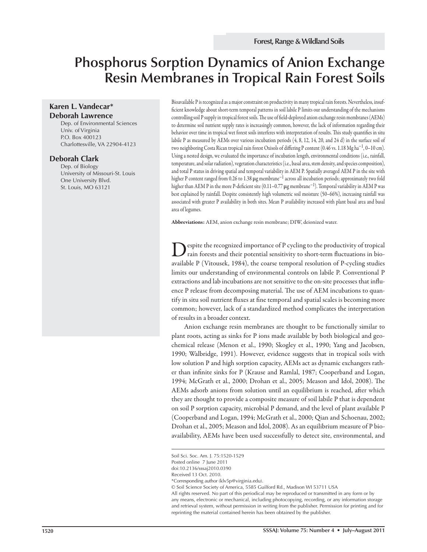# **Phosphorus Sorption Dynamics of Anion Exchange Resin Membranes in Tropical Rain Forest Soils**

## **Karen L. Vandecar\* Deborah Lawrence**

Dep. of Environmental Sciences Univ. of Virginia P.O. Box 400123 Charlottesville, VA 22904-4123

#### **Deborah Clark**

Dep. of Biology University of Missouri-St. Louis One University Blvd. St. Louis, MO 63121

Bioavailable P is recognized as a major constraint on productivity in many tropical rain forests. Nevertheless, insufficient knowledge about short-term temporal patterns in soil labile P limits our understanding of the mechanisms controlling soil P supply in tropical forest soils. The use of field-deployed anion exchange resin membranes (AEMs) to determine soil nutrient supply rates is increasingly common, however, the lack of information regarding their behavior over time in tropical wet forest soils interferes with interpretation of results. This study quantifies in situ labile P as measured by AEMs over various incubation periods (4, 8, 12, 14, 20, and 24 d) in the surface soil of two neighboring Costa Rican tropical rain forest Oxisols of differing P content (0.46 vs. 1.18 Mg ha<sup>-1</sup>, 0–10 cm). Using a nested design, we evaluated the importance of incubation length, environmental conditions (i.e., rainfall, temperature, and solar radiation), vegetation characteristics (i.e., basal area, stem density, and species composition), and total P status in driving spatial and temporal variability in AEM P. Spatially averaged AEM P in the site with higher P content ranged from 0.26 to 1.38 **μ**g membrane−1 across all incubation periods; approximately two fold higher than AEM P in the more P-deficient site (0.11–0.77 μg membrane<sup>-1</sup>). Temporal variability in AEM P was best explained by rainfall. Despite consistently high volumetric soil moisture (50–66%), increasing rainfall was associated with greater P availability in both sites. Mean P availability increased with plant basal area and basal area of legumes.

**Abbreviations:** AEM, anion exchange resin membrane; DIW, deionized water.

espite the recognized importance of P cycling to the productivity of tropical rain forests and their potential sensitivity to short-term fluctuations in bioavailable P (Vitousek, 1984), the coarse temporal resolution of P-cycling studies limits our understanding of environmental controls on labile P. Conventional P extractions and lab incubations are not sensitive to the on-site processes that influence P release from decomposing material. The use of AEM incubations to quantify in situ soil nutrient fluxes at fine temporal and spatial scales is becoming more common; however, lack of a standardized method complicates the interpretation of results in a broader context.

Anion exchange resin membranes are thought to be functionally similar to plant roots, acting as sinks for P ions made available by both biological and geochemical release (Menon et al., 1990; Skogley et al., 1990; Yang and Jacobsen, 1990; Walbridge, 1991). However, evidence suggests that in tropical soils with low solution P and high sorption capacity, AEMs act as dynamic exchangers rather than infinite sinks for P (Krause and Ramlal, 1987; Cooperband and Logan, 1994; McGrath et al., 2000; Drohan et al., 2005; Meason and Idol, 2008). The AEMs adsorb anions from solution until an equilibrium is reached, after which they are thought to provide a composite measure of soil labile P that is dependent on soil P sorption capacity, microbial P demand, and the level of plant available P (Cooperband and Logan, 1994; McGrath et al., 2000; Qian and Schoenau, 2002; Drohan et al., 2005; Meason and Idol, 2008). As an equilibrium measure of P bioavailability, AEMs have been used successfully to detect site, environmental, and

© Soil Science Society of America, 5585 Guilford Rd., Madison WI 53711 USA

Soil Sci. Soc. Am. J. 75:1520-1529

Posted online 7 June 2011

doi:10.2136/sssaj2010.0390

Received 13 Oct. 2010.

<sup>\*</sup>Corresponding author (klv5p@virginia.edu).

All rights reserved. No part of this periodical may be reproduced or transmitted in any form or by any means, electronic or mechanical, including photocopying, recording, or any information storage and retrieval system, without permission in writing from the publisher. Permission for printing and for reprinting the material contained herein has been obtained by the publisher.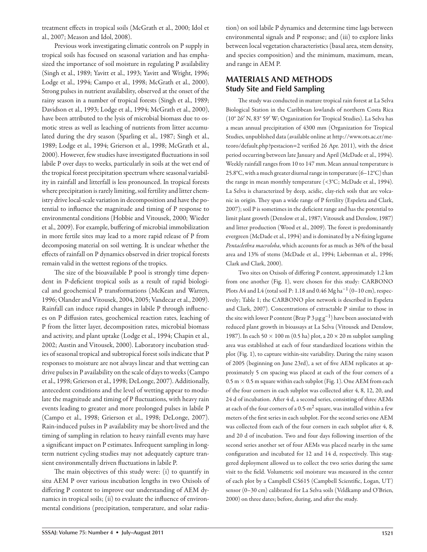treatment effects in tropical soils (McGrath et al., 2000; Idol et al., 2007; Meason and Idol, 2008).

Previous work investigating climatic controls on P supply in tropical soils has focused on seasonal variation and has emphasized the importance of soil moisture in regulating P availability (Singh et al., 1989; Yavitt et al., 1993; Yavitt and Wright, 1996; Lodge et al., 1994; Campo et al., 1998; McGrath et al., 2000). Strong pulses in nutrient availability, observed at the onset of the rainy season in a number of tropical forests (Singh et al., 1989; Davidson et al., 1993; Lodge et al., 1994; McGrath et al., 2000), have been attributed to the lysis of microbial biomass due to osmotic stress as well as leaching of nutrients from litter accumulated during the dry season (Sparling et al., 1987; Singh et al., 1989; Lodge et al., 1994; Grierson et al., 1998; McGrath et al., 2000). However, few studies have investigated fluctuations in soil labile P over days to weeks, particularly in soils at the wet end of the tropical forest precipitation spectrum where seasonal variability in rainfall and litterfall is less pronounced. In tropical forests where precipitation is rarely limiting, soil fertility and litter chemistry drive local-scale variation in decomposition and have the potential to influence the magnitude and timing of P response to environmental conditions (Hobbie and Vitousek, 2000; Wieder et al., 2009). For example, buffering of microbial immobilization in more fertile sites may lead to a more rapid release of P from decomposing material on soil wetting. It is unclear whether the effects of rainfall on P dynamics observed in drier tropical forests remain valid in the wettest regions of the tropics.

The size of the bioavailable P pool is strongly time dependent in P-deficient tropical soils as a result of rapid biological and geochemical P transformations (McKean and Warren, 1996; Olander and Vitousek, 2004, 2005; Vandecar et al., 2009). Rainfall can induce rapid changes in labile P through influences on P diffusion rates, geochemical reaction rates, leaching of P from the litter layer, decomposition rates, microbial biomass and activity, and plant uptake (Lodge et al., 1994; Chapin et al., 2002; Austin and Vitousek, 2000). Laboratory incubation studies of seasonal tropical and subtropical forest soils indicate that P responses to moisture are not always linear and that wetting can drive pulses in P availability on the scale of days to weeks (Campo et al., 1998; Grierson et al., 1998; DeLonge, 2007). Additionally, antecedent conditions and the level of wetting appear to modulate the magnitude and timing of P fluctuations, with heavy rain events leading to greater and more prolonged pulses in labile P (Campo et al., 1998; Grierson et al., 1998; DeLonge, 2007). Rain-induced pulses in P availability may be short-lived and the timing of sampling in relation to heavy rainfall events may have a significant impact on P estimates. Infrequent sampling in longterm nutrient cycling studies may not adequately capture transient environmentally driven fluctuations in labile P.

The main objectives of this study were: (i) to quantify in situ AEM P over various incubation lengths in two Oxisols of differing P content to improve our understanding of AEM dynamics in tropical soils; (ii) to evaluate the influence of environmental conditions (precipitation, temperature, and solar radiation) on soil labile P dynamics and determine time lags between environmental signals and P response; and (iii) to explore links between local vegetation characteristics (basal area, stem density, and species composition) and the minimum, maximum, mean, and range in AEM P.

# **MATERIALS AND METHODS Study Site and Field Sampling**

The study was conducted in mature tropical rain forest at La Selva Biological Station in the Caribbean lowlands of northern Costa Rica (10° 26′ N, 83° 59′ W; Organization for Tropical Studies). La Selva has a mean annual precipitation of 4300 mm (Organization for Tropical Studies, unpublished data (available online at http://www.ots.ac.cr/meteoro/default.php?pestacion=2 verified 26 Apr. 2011), with the driest period occurring between late January and April (McDade et al., 1994). Weekly rainfall ranges from 10 to 147 mm. Mean annual temperature is 25.8°C, with a much greater diurnal range in temperature (6–12°C) than the range in mean monthly temperature (<3°C; McDade et al., 1994). La Selva is characterized by deep, acidic, clay-rich soils that are volcanic in origin. They span a wide range of P fertility (Espeleta and Clark,  $2007$ ); soil P is sometimes in the deficient range and has the potential to limit plant growth (Denslow et al., 1987; Vitousek and Denslow, 1987) and litter production (Wood et al., 2009). The forest is predominantly evergreen (McDade et al., 1994) and is dominated by a N-fixing legume *Pentaclethra macroloba*, which accounts for as much as 36% of the basal area and 13% of stems (McDade et al., 1994; Lieberman et al., 1996; Clark and Clark, 2000).

Two sites on Oxisols of differing P content, approximately 1.2 km from one another (Fig. 1), were chosen for this study: CARBONO Plots A4 and L4 (total soil P: 1.18 and 0.46 Mg ha<sup>-1</sup> (0-10 cm), respectively; Table 1; the CARBONO plot network is described in Espeleta and Clark, 2007). Concentrations of extractable P similar to those in the site with lower P content (Bray P 3  $\mu$ g g<sup>-1</sup>) have been associated with reduced plant growth in bioassays at La Selva (Vitousek and Denslow, 1987). In each 50  $\times$  100 m (0.5 ha) plot, a 20  $\times$  20 m subplot sampling area was established at each of four standardized locations within the plot (Fig. 1), to capture within-site variability. During the rainy season of 2005 (beginning on June 23rd), a set of five AEM replicates at approximately 5 cm spacing was placed at each of the four corners of a  $0.5$  m  $\times$  0.5 m square within each subplot (Fig. 1). One AEM from each of the four corners in each subplot was collected after 4, 8, 12, 20, and 24 d of incubation. After 4 d, a second series, consisting of three AEMs at each of the four corners of a  $0.5\text{-m}^2$  square, was installed within a few meters of the first series in each subplot. For the second series one AEM was collected from each of the four corners in each subplot after 4, 8, and 20 d of incubation. Two and four days following insertion of the second series another set of four AEMs was placed nearby in the same configuration and incubated for 12 and 14 d, respectively. This staggered deployment allowed us to collect the two series during the same visit to the field. Volumetric soil moisture was measured in the center of each plot by a Campbell CS615 (Campbell Scientific, Logan, UT) sensor (0–30 cm) calibrated for La Selva soils (Veldkamp and O'Brien, 2000) on three dates; before, during, and after the study.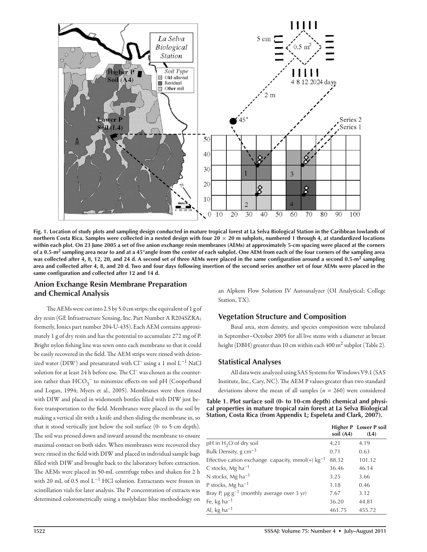

**Fig. 1. Location of study plots and sampling design conducted in mature tropical forest at La Selva Biological Station in the Caribbean lowlands of northern Costa Rica. Samples were collected in a nested design with four 20 × 20 m subplots, numbered 1 through 4, at standardized locations**  within each plot. On 23 June 2005 a set of five anion exchange resin membranes (AEMs) at approximately 5-cm spacing were placed at the corners **of a 0.5-m2 sampling area near to and at a 45°angle from the center of each subplot. One AEM from each of the four corners of the sampling area**  was collected after 4, 8, 12, 20, and 24 d. A second set of three AEMs were placed in the same configuration around a second 0.5-m<sup>2</sup> sampling **area and collected after 4, 8, and 20 d. Two and four days following insertion of the second series another set of four AEMs were placed in the**  same configuration and collected after 12 and 14 d.

## **Anion Exchange Resin Membrane Preparation and Chemical Analysis**

The AEMs were cut into 2.5 by 5.0 cm strips; the equivalent of  $1$  g of dry resin (GE Infrastructure Sensing, Inc. Part Number A R204SZRA; formerly, Ionics part number 204-U-435). Each AEM contains approximately 1 g of dry resin and has the potential to accumulate 272 mg of P. Bright nylon fishing line was sewn onto each membrane so that it could be easily recovered in the field. The AEM strips were rinsed with deionized water (DIW) and presaturated with Cl− using a 1 mol L−1 NaCl solution for at least 24 h before use. The Cl<sup>−</sup> was chosen as the counterion rather than  $\mathrm{HCO}_{3}^{-}$  to minimize effects on soil pH (Cooperband and Logan, 1994; Myers et al., 2005). Membranes were then rinsed with DIW and placed in widemouth bottles filled with DIW just before transportation to the field. Membranes were placed in the soil by making a vertical slit with a knife and then sliding the membrane in, so that it stood vertically just below the soil surface (0- to 5-cm depth). The soil was pressed down and inward around the membrane to ensure maximal contact on both sides. When membranes were recovered they were rinsed in the field with DIW and placed in individual sample bags filled with DIW and brought back to the laboratory before extraction. The AEMs were placed in 50-mL centrifuge tubes and shaken for 2 h with 20 mL of 0.5 mol L<sup>-1</sup> HCl solution. Extractants were frozen in scintillation vials for later analysis. The P concentration of extracts was determined colorometrically using a molybdate blue methodology on

an Alpkem Flow Solution IV Autoanalyzer (OI Analytical; College Station, TX).

## **Vegetation Structure and Composition**

Basal area, stem density, and species composition were tabulated in September–October 2005 for all live stems with a diameter at breast height (DBH) greater than 10 cm within each 400 m<sup>2</sup> subplot (Table 2).

## **Statistical Analyses**

All data were analyzed using SAS Systems for Windows V9.1 (SAS Institute, Inc., Cary, NC). The AEM P values greater than two standard deviations above the mean of all samples (*n* = 260) were considered

| Table 1. Plot surface soil (0- to 10-cm depth) chemical and physi-   |
|----------------------------------------------------------------------|
| cal properties in mature tropical rain forest at La Selva Biological |
| Station, Costa Rica (from Appendix L; Espeleta and Clark, 2007).     |

|                                                             | soil (A4) | Higher P Lower P soil<br>(L4) |
|-------------------------------------------------------------|-----------|-------------------------------|
| pH in $H_2O$ of dry soil                                    | 4.21      | 4.19                          |
| Bulk Density, $g \text{ cm}^{-3}$                           | 0.71      | 0.63                          |
| Effective cation exchange capacity, mmol(+) $kg^{-1}$       | 88.32     | 101.12                        |
| C stocks, Mg ha <sup>-1</sup>                               | 36.46     | 46.14                         |
| N stocks, Mg ha <sup>-1</sup>                               | 3.25      | 3.66                          |
| P stocks, $Mg$ ha <sup>-1</sup>                             | 1.18      | 0.46                          |
| Bray P, $\mu$ g g <sup>-1</sup> (monthly average over 3 yr) | 7.67      | 3.12                          |
| Fe, kg ha <sup>-1</sup>                                     | 36.20     | 44.81                         |
| Al, kg ha <sup><math>-1</math></sup>                        | 461.75    | 455.72                        |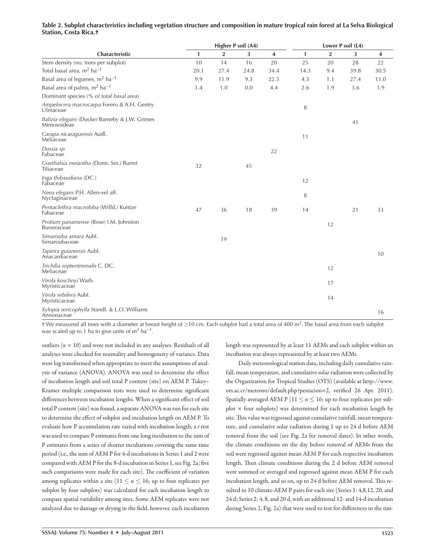| Characteristic                                               | Higher P soil (A4) |                |      |      | Lower P soil (L4) |              |      |      |
|--------------------------------------------------------------|--------------------|----------------|------|------|-------------------|--------------|------|------|
|                                                              | 1                  | $\overline{2}$ | 3    | 4    | 1                 | $\mathbf{2}$ | 3    | 4    |
| Stem density (no. trees per subplot)                         | 10                 | 14             | 16   | 20   | 25                | 20           | 28   | 22   |
| Total basal area, $m^2$ ha <sup>-1</sup>                     | 20.1               | 27.4           | 24.8 | 34.4 | 14.3              | 9.4          | 39.8 | 30.5 |
| Basal area of legumes, m <sup>2</sup> ha <sup>-1</sup>       | 9.9                | 11.9           | 9.3  | 22.5 | 4.3               | 1.1          | 27.4 | 11.0 |
| Basal area of palms, m <sup>2</sup> ha <sup>-1</sup>         | 1.4                | 1.0            | 0.0  | 4.4  | 2.6               | 1.9          | 3.6  | 1.9  |
| Dominant species (% of total basal area)                     |                    |                |      |      |                   |              |      |      |
| Ampelocera macrocarpa Forero & A.H. Gentry<br>Ulmaceae       |                    |                |      |      | 8                 |              |      |      |
| Balizia elegans (Ducke) Barneby & J.W. Grimes<br>Mimosoideae |                    |                |      |      |                   |              | 41   |      |
| Carapa nicaraguensis Audl.<br>Meliaceae                      |                    |                |      |      | 11                |              |      |      |
| Dussia sp.<br>Fabaceae                                       |                    |                |      | 22   |                   |              |      |      |
| Goethalsia meiantha (Donn. Sm.) Burret<br>Tiliaceae          | 32                 |                | 45   |      |                   |              |      |      |
| Inga thibaudiana (DC.)<br>Fabaceae                           |                    |                |      |      | 12                |              |      |      |
| Neea elegans P.H. Allen-vel aff.<br>Nyctaginaceae            |                    |                |      |      | 8                 |              |      |      |
| Pentaclethra macroloba (Willd.) Kuntze<br>Fabaceae           | 47                 | 36             | 18   | 39   | 14                |              | 21   | 33   |
| Protium panamense (Rose) I.M. Johnston<br>Burseraceae        |                    |                |      |      |                   | 12           |      |      |
| Simarouba amara Aubl.<br>Simaroubaceae                       |                    | 19             |      |      |                   |              |      |      |
| Tapirira guianensis Aubl.<br>Anacardiaceae                   |                    |                |      |      |                   |              |      | 10   |
| Trichilia septentrionalis C. DC.<br>Meliaceae                |                    |                |      |      |                   | 12           |      |      |
| Virola koschnyi Warb.<br>Myristicaceae                       |                    |                |      |      |                   | 17           |      |      |
| Virola sebifera Aubl.<br>Myristicaceae                       |                    |                |      |      |                   | 14           |      |      |
| Xylopia sericophylla Standl. & L.O. Williams<br>Annonaceae   |                    |                |      |      |                   |              |      | 16   |

#### **Table 2. Subplot characteristics including vegetation structure and composition in mature tropical rain forest at La Selva Biological Station, Costa Rica.†**

† We measured all trees with a diameter at breast height of ≥10 cm. Each subplot had a total area of 400 m<sup>2</sup>. The basal area from each subplot was scaled up to 1 ha to give units of  $m^2$  ha<sup>-1</sup>.

outliers (*n* = 10) and were not included in any analyses. Residuals of all analyses were checked for normality and homogeneity of variance. Data were log transformed when appropriate to meet the assumptions of analysis of variance (ANOVA). ANOVA was used to determine the effect of incubation length and soil total P content (site) on AEM P. Tukey– Kramer multiple comparison tests were used to determine significant differences between incubation lengths. When a significant effect of soil total P content (site) was found, a separate ANOVA was run for each site to determine the effect of subplot and incubation length on AEM P. To evaluate how P accumulation rate varied with incubation length, a *t* test was used to compare P estimates from one long incubation to the sum of P estimates from a series of shorter incubations covering the same time period (i.e., the sum of AEM P for 4-d incubations in Series 1 and 2 were compared with AEM P for the 8-d incubation in Series 1, see Fig. 2a; five such comparisons were made for each site). The coefficient of variation among replicates within a site ( $11 \le n \le 16$ ; up to four replicates per subplot by four subplots) was calculated for each incubation length to compare spatial variability among sites. Some AEM replicates were not analyzed due to damage or drying in the field, however, each incubation

length was represented by at least 11 AEMs and each subplot within an incubation was always represented by at least two AEMs.

Daily meteorological station data, including daily cumulative rainfall, mean temperature, and cumulative solar radiation were collected by the Organization for Tropical Studies (OTS) (available at http://www. ots.ac.cr/meteoro/default.php?pestacion=2, verified 26 Apr. 2011). Spatially averaged AEM P ( $11 \le n \le 16$ ; up to four replicates per subplot  $\times$  four subplots) was determined for each incubation length by site. This value was regressed against cumulative rainfall, mean temperature, and cumulative solar radiation during 1 up to 24 d before AEM removal from the soil (see Fig. 2a for removal dates). In other words, the climate conditions on the day before removal of AEMs from the soil were regressed against mean AEM P for each respective incubation length. Then climate conditions during the 2 d before AEM removal were summed or averaged and regressed against mean AEM P for each incubation length, and so on, up to 24 d before AEM removal. This resulted in 10 climate-AEM P pairs for each site (Series 1: 4,8,12, 20, and 24 d; Series 2: 4, 8, and 20 d, with an additional 12- and 14-d incubation during Series 2, Fig. 2a) that were used to test for differences in the tim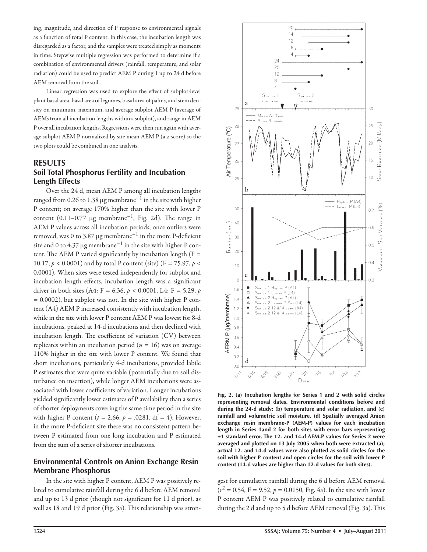ing, magnitude, and direction of P response to environmental signals as a function of total P content. In this case, the incubation length was disregarded as a factor, and the samples were treated simply as moments in time. Stepwise multiple regression was performed to determine if a combination of environmental drivers (rainfall, temperature, and solar radiation) could be used to predict AEM P during 1 up to 24 d before AEM removal from the soil.

Linear regression was used to explore the effect of subplot-level plant basal area, basal area of legumes, basal area of palms, and stem density on minimum, maximum, and average subplot AEM P (average of AEMs from all incubation lengths within a subplot), and range in AEM P over all incubation lengths. Regressions were then run again with average subplot AEM P normalized by site mean AEM P (a *z*-score) so the two plots could be combined in one analysis.

## **RESULTS Soil Total Phosphorus Fertility and Incubation Length Effects**

Over the 24 d, mean AEM P among all incubation lengths ranged from 0.26 to 1.38  $\mu$ g membrane<sup>-1</sup> in the site with higher P content; on average 170% higher than the site with lower P content  $(0.11-0.77 \mu g$  membrane<sup>-1</sup>, Fig. 2d). The range in AEM P values across all incubation periods, once outliers were removed, was 0 to 3.87 µg membrane<sup>-1</sup> in the more P-deficient site and 0 to 4.37  $\mu$ g membrane<sup>-1</sup> in the site with higher P content. The AEM P varied significantly by incubation length ( $F =$ 10.17,  $p < 0.0001$ ) and by total P content (site) (F = 75.97,  $p <$ 0.0001). When sites were tested independently for subplot and incubation length effects, incubation length was a significant driver in both sites (A4: F = 6.36, *p* < 0.0001, L4: F = 5.29, *p*  $= 0.0002$ ), but subplot was not. In the site with higher P content (A4) AEM P increased consistently with incubation length, while in the site with lower P content AEM P was lowest for 8-d incubations, peaked at 14-d incubations and then declined with incubation length. The coefficient of variation  $(CV)$  between replicates within an incubation period (*n* = 16) was on average 110% higher in the site with lower P content. We found that short incubations, particularly 4-d incubations, provided labile P estimates that were quite variable (potentially due to soil disturbance on insertion), while longer AEM incubations were associated with lower coefficients of variation. Longer incubations yielded significantly lower estimates of P availability than a series of shorter deployments covering the same time period in the site with higher P content ( $t = 2.66$ ,  $p = .0281$ , df = 4). However, in the more P-deficient site there was no consistent pattern between P estimated from one long incubation and P estimated from the sum of a series of shorter incubations.

## **Environmental Controls on Anion Exchange Resin Membrane Phosphorus**

In the site with higher P content, AEM P was positively related to cumulative rainfall during the 6 d before AEM removal and up to 13 d prior (though not significant for 11 d prior), as well as 18 and 19 d prior (Fig. 3a). This relationship was stron-



**Fig. 2. (a) Incubation lengths for Series 1 and 2 with solid circles representing removal dates. Environmental conditions before and during the 24-d study: (b) temperature and solar radiation, and (c) rainfall and volumetric soil moisture. (d) Spatially averaged Anion exchange resin membrane-P (AEM-P) values for each incubation length in Series 1and 2 for both sites with error bars representing ±1 standard error. The 12- and 14-d AEM-P values for Series 2 were averaged and plotted on 13 July 2005 when both were extracted (a); actual 12- and 14-d values were also plotted as solid circles for the soil with higher P content and open circles for the soil with lower P content (14-d values are higher than 12-d values for both sites).**

gest for cumulative rainfall during the 6 d before AEM removal  $(r^2 = 0.54, F = 9.52, p = 0.0150, Fig. 4a)$ . In the site with lower P content AEM P was positively related to cumulative rainfall during the 2 d and up to 5 d before AEM removal (Fig. 3a). This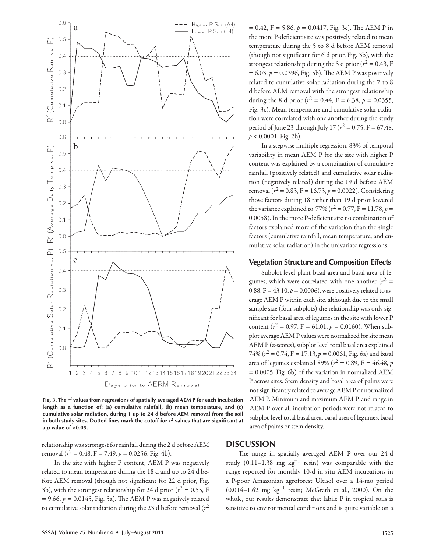

**Fig. 3. The** *r* **2 values from regressions of spatially averaged AEM P for each incubation length as a function of: (a) cumulative rainfall, (b) mean temperature, and (c) cumulative solar radiation, during 1 up to 24 d before AEM removal from the soil**  in both study sites. Dotted lines mark the cutoff for  $r<sup>2</sup>$  values that are significant at **a** *p* **value of <0.05.**

relationship was strongest for rainfall during the 2 d before AEM removal ( $r^2 = 0.48$ , F = 7.49,  $p = 0.0256$ , Fig. 4b).

In the site with higher P content, AEM P was negatively related to mean temperature during the 18 d and up to 24 d before AEM removal (though not significant for 22 d prior, Fig. 3b), with the strongest relationship for 24 d prior ( $r^2$  = 0.55, F  $= 9.66$ ,  $p = 0.0145$ , Fig. 5a). The AEM P was negatively related to cumulative solar radiation during the 23 d before removal (*r*<sup>2</sup>

 $= 0.42$ , F = 5.86,  $p = 0.0417$ , Fig. 3c). The AEM P in the more P-deficient site was positively related to mean temperature during the 5 to 8 d before AEM removal (though not significant for  $6$  d prior, Fig. 3b), with the strongest relationship during the 5 d prior ( $r^2$  = 0.43, F  $= 6.03, p = 0.0396$ , Fig. 5b). The AEM P was positively related to cumulative solar radiation during the 7 to 8 d before AEM removal with the strongest relationship during the 8 d prior ( $r^2 = 0.44$ , F = 6.38, p = 0.0355, Fig. 3c). Mean temperature and cumulative solar radiation were correlated with one another during the study period of June 23 through July 17 ( $r^2$  = 0.75, F = 67.48,  $p < 0.0001$ , Fig. 2b).

In a stepwise multiple regression, 83% of temporal variability in mean AEM P for the site with higher P content was explained by a combination of cumulative rainfall (positively related) and cumulative solar radiation (negatively related) during the 19 d before AEM removal ( $r^2 = 0.83$ , F = 16.73, p = 0.0022). Considering those factors during 18 rather than 19 d prior lowered the variance explained to 77% ( $r^2 = 0.77$ , F = 11.78, p = 0.0058). In the more P-deficient site no combination of factors explained more of the variation than the single factors (cumulative rainfall, mean temperature, and cumulative solar radiation) in the univariate regressions.

#### **Vegetation Structure and Composition Effects**

Subplot-level plant basal area and basal area of legumes, which were correlated with one another  $(r^2 =$ 0.88,  $F = 43.10, p = 0.0006$ , were positively related to average AEM P within each site, although due to the small sample size (four subplots) the relationship was only significant for basal area of legumes in the site with lower P content ( $r^2 = 0.97$ , F = 61.01,  $p = 0.0160$ ). When subplot average AEM P values were normalized for site mean AEM P (*z*-scores), subplot level total basal area explained 74% ( $r^2 = 0.74$ , F = 17.13,  $p = 0.0061$ , Fig. 6a) and basal area of legumes explained 89% ( $r^2 = 0.89$ , F = 46.48, *p* = 0.0005, Fig. 6b) of the variation in normalized AEM P across sites. Stem density and basal area of palms were not significantly related to average AEM P or normalized AEM P. Minimum and maximum AEM P, and range in AEM P over all incubation periods were not related to subplot-level total basal area, basal area of legumes, basal area of palms or stem density.

## **DISCUSSION**

The range in spatially averaged AEM P over our 24-d study (0.11–1.38 mg kg<sup>-1</sup> resin) was comparable with the range reported for monthly 10-d in situ AEM incubations in a P-poor Amazonian agroforest Ultisol over a 14-mo period (0.014–1.62 mg kg<sup>−</sup>1 resin; McGrath et al., 2000). On the whole, our results demonstrate that labile P in tropical soils is sensitive to environmental conditions and is quite variable on a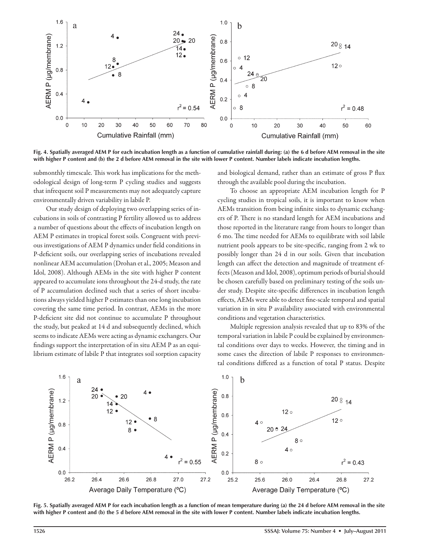![](_page_6_Figure_0.jpeg)

**Fig. 4. Spatially averaged AEM P for each incubation length as a function of cumulative rainfall during: (a) the 6 d before AEM removal in the site with higher P content and (b) the 2 d before AEM removal in the site with lower P content. Number labels indicate incubation lengths.**

submonthly timescale. This work has implications for the methodological design of long-term P cycling studies and suggests that infrequent soil P measurements may not adequately capture environmentally driven variability in labile P.

Our study design of deploying two overlapping series of incubations in soils of contrasting P fertility allowed us to address a number of questions about the effects of incubation length on AEM P estimates in tropical forest soils. Congruent with previous investigations of AEM P dynamics under field conditions in P-deficient soils, our overlapping series of incubations revealed nonlinear AEM accumulation (Drohan et al., 2005; Meason and Idol, 2008). Although AEMs in the site with higher P content appeared to accumulate ions throughout the 24-d study, the rate of P accumulation declined such that a series of short incubations always yielded higher P estimates than one long incubation covering the same time period. In contrast, AEMs in the more P-deficient site did not continue to accumulate P throughout the study, but peaked at 14 d and subsequently declined, which seems to indicate AEMs were acting as dynamic exchangers. Our findings support the interpretation of in situ AEM P as an equilibrium estimate of labile P that integrates soil sorption capacity and biological demand, rather than an estimate of gross P flux through the available pool during the incubation.

To choose an appropriate AEM incubation length for P cycling studies in tropical soils, it is important to know when AEMs transition from being infinite sinks to dynamic exchangers of P. There is no standard length for AEM incubations and those reported in the literature range from hours to longer than 6 mo. The time needed for AEMs to equilibrate with soil labile nutrient pools appears to be site-specific, ranging from 2 wk to possibly longer than 24 d in our soils. Given that incubation length can affect the detection and magnitude of treatment effects (Meason and Idol, 2008), optimum periods of burial should be chosen carefully based on preliminary testing of the soils under study. Despite site-specific differences in incubation length effects, AEMs were able to detect fine-scale temporal and spatial variation in in situ P availability associated with environmental conditions and vegetation characteristics.

Multiple regression analysis revealed that up to 83% of the temporal variation in labile P could be explained by environmental conditions over days to weeks. However, the timing and in some cases the direction of labile P responses to environmental conditions differed as a function of total P status. Despite

![](_page_6_Figure_7.jpeg)

**Fig. 5. Spatially averaged AEM P for each incubation length as a function of mean temperature during (a) the 24 d before AEM removal in the site with higher P content and (b) the 5 d before AEM removal in the site with lower P content. Number labels indicate incubation lengths.**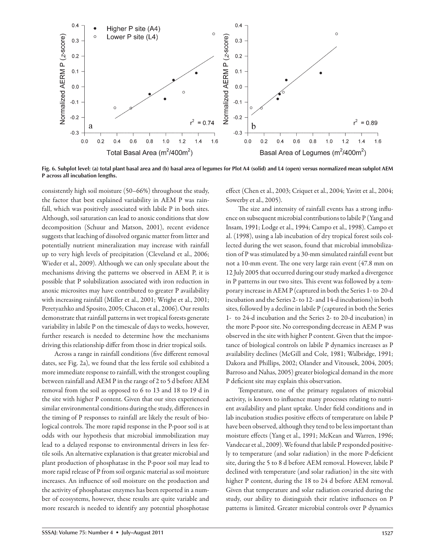![](_page_7_Figure_0.jpeg)

**Fig. 6. Subplot level: (a) total plant basal area and (b) basal area of legumes for Plot A4 (solid) and L4 (open) versus normalized mean subplot AEM P across all incubation lengths.**

consistently high soil moisture (50–66%) throughout the study, the factor that best explained variability in AEM P was rainfall, which was positively associated with labile P in both sites. Although, soil saturation can lead to anoxic conditions that slow decomposition (Schuur and Matson, 2001), recent evidence suggests that leaching of dissolved organic matter from litter and potentially nutrient mineralization may increase with rainfall up to very high levels of precipitation (Cleveland et al., 2006; Wieder et al., 2009). Although we can only speculate about the mechanisms driving the patterns we observed in AEM P, it is possible that P solubilization associated with iron reduction in anoxic microsites may have contributed to greater P availability with increasing rainfall (Miller et al., 2001; Wright et al., 2001; Peretyazhko and Sposito, 2005; Chacon et al., 2006). Our results demonstrate that rainfall patterns in wet tropical forests generate variability in labile P on the timescale of days to weeks, however, further research is needed to determine how the mechanisms driving this relationship differ from those in drier tropical soils.

Across a range in rainfall conditions (five different removal dates, see Fig. 2a), we found that the less fertile soil exhibited a more immediate response to rainfall, with the strongest coupling between rainfall and AEM P in the range of 2 to 5 d before AEM removal from the soil as opposed to 6 to 13 and 18 to 19 d in the site with higher P content. Given that our sites experienced similar environmental conditions during the study, differences in the timing of P responses to rainfall are likely the result of biological controls. The more rapid response in the P-poor soil is at odds with our hypothesis that microbial immobilization may lead to a delayed response to environmental drivers in less fertile soils. An alternative explanation is that greater microbial and plant production of phosphatase in the P-poor soil may lead to more rapid release of P from soil organic material as soil moisture increases. An influence of soil moisture on the production and the activity of phosphatase enzymes has been reported in a number of ecosystems, however, these results are quite variable and more research is needed to identify any potential phosphotase

effect (Chen et al., 2003; Criquet et al., 2004; Yavitt et al., 2004; Sowerby et al., 2005).

The size and intensity of rainfall events has a strong influence on subsequent microbial contributions to labile P (Yang and Insam, 1991; Lodge et al., 1994; Campo et al., 1998). Campo et al. (1998), using a lab incubation of dry tropical forest soils collected during the wet season, found that microbial immobilization of P was stimulated by a 30-mm simulated rainfall event but not a 10-mm event. The one very large rain event  $(47.8 \text{ mm on } 10)$ 12 July 2005 that occurred during our study marked a divergence in P patterns in our two sites. This event was followed by a temporary increase in AEM P (captured in both the Series 1- to 20-d incubation and the Series 2- to 12- and 14-d incubations) in both sites, followed by a decline in labile P (captured in both the Series 1- to 24-d incubation and the Series 2- to 20-d incubation) in the more P-poor site. No corresponding decrease in AEM P was observed in the site with higher P content. Given that the importance of biological controls on labile P dynamics increases as P availability declines (McGill and Cole, 1981; Walbridge, 1991; Dakora and Phillips, 2002; Olander and Vitousek, 2004, 2005; Barroso and Nahas, 2005) greater biological demand in the more P deficient site may explain this observation.

Temperature, one of the primary regulators of microbial activity, is known to influence many processes relating to nutrient availability and plant uptake. Under field conditions and in lab incubation studies positive effects of temperature on labile P have been observed, although they tend to be less important than moisture effects (Yang et al., 1991; McKean and Warren, 1996; Vandecar et al., 2009). We found that labile P responded positively to temperature (and solar radiation) in the more P-deficient site, during the 5 to 8 d before AEM removal. However, labile P declined with temperature (and solar radiation) in the site with higher P content, during the 18 to 24 d before AEM removal. Given that temperature and solar radiation covaried during the study, our ability to distinguish their relative influences on P patterns is limited. Greater microbial controls over P dynamics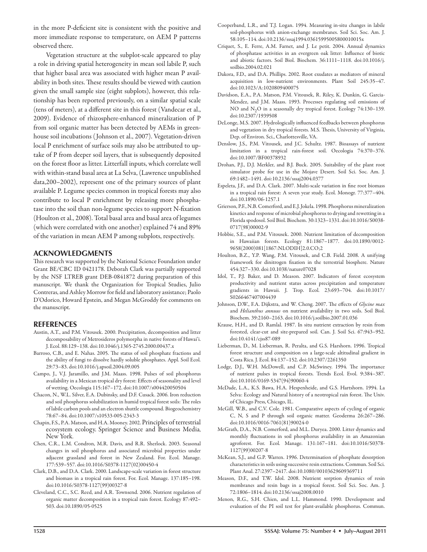in the more P-deficient site is consistent with the positive and more immediate response to temperature, on AEM P patterns observed there.

Vegetation structure at the subplot-scale appeared to play a role in driving spatial heterogeneity in mean soil labile P, such that higher basal area was associated with higher mean P availability in both sites. These results should be viewed with caution given the small sample size (eight subplots), however, this relationship has been reported previously, on a similar spatial scale (tens of meters), at a different site in this forest (Vandecar et al., 2009). Evidence of rhizosphere-enhanced mineralization of P from soil organic matter has been detected by AEMs in greenhouse soil incubations ( Johnson et al., 2007). Vegetation-driven local P enrichment of surface soils may also be attributed to uptake of P from deeper soil layers, that is subsequently deposited on the forest floor as litter. Litterfall inputs, which correlate well with within-stand basal area at La Selva, (Lawrence unpublished data,200–2002), represent one of the primary sources of plant available P. Legume species common in tropical forests may also contribute to local P enrichment by releasing more phosphatase into the soil than non-legume species to support N-fixation (Houlton et al., 2008). Total basal area and basal area of legumes (which were correlated with one another) explained 74 and 89% of the variation in mean AEM P among subplots, respectively.

## **ACKNOWLEDGMENTS**

This research was supported by the National Science Foundation under Grant BE/CBC ID 0421178. Deborah Clark was partially supported by the NSF LTREB grant DEB-0841872 during preparation of this manuscript. We thank the Organization for Tropical Studies, Julio Contreras, and Ashley Morrow for field and laboratory assistance; Paolo D'Odorico, Howard Epstein, and Megan McGroddy for comments on the manuscript.

### **REFERENCES**

- Austin, A.T., and P.M. Vitousek. 2000. Precipitation, decomposition and litter decomposability of Metrosideros polymorpha in native forests of Hawai'i. J. Ecol. 88:129–138. doi:10.1046/j.1365-2745.2000.00437.x
- Barroso, C.B., and E. Nahas. 2005. The status of soil phosphate fractions and the ability of fungi to dissolve hardly soluble phosphates. Appl. Soil Ecol. 29:73–83. doi:10.1016/j.apsoil.2004.09.005
- Campo, J., V.J. Jaramillo, and J.M. Maass. 1998. Pulses of soil phosphorus availability in a Mexican tropical dry forest: Effects of seasonality and level of wetting. Oecologia 115:167–172. doi:10.1007/s004420050504
- Chacon, N., W.L. Silver, E.A. Dubinsky, and D.F. Cusack. 2006. Iron reduction and soil phosphorus solubilization in humid tropical forest soils: The roles of labile carbon pools and an electron shuttle compound. Biogeochemistry 78:67–84. doi:10.1007/s10533-005-2343-3
- Chapin, F.S., P.A. Matson, and H.A. Mooney. 2002. Principles of terrestrial ecosystem ecology. Springer Science and Business Media, New York.
- Chen, C.R., L.M. Condron, M.R. Davis, and R.R. Sherlock. 2003. Seasonal changes in soil phosphorus and associated microbial properties under adjacent grassland and forest in New Zealand. For. Ecol. Manage. 177:539–557. doi:10.1016/S0378-1127(02)00450-4
- Clark, D.B., and D.A. Clark. 2000. Landscape-scale variation in forest structure and biomass in a tropical rain forest. For. Ecol. Manage. 137:185–198. doi:10.1016/S0378-1127(99)00327-8
- Cleveland, C.C., S.C. Reed, and A.R. Townsend. 2006. Nutrient regulation of organic matter decomposition in a tropical rain forest. Ecology 87:492– 503. doi:10.1890/05-0525
- Cooperband, L.R., and T.J. Logan. 1994. Measuring in-situ changes in labile soil-phosphorus with anion-exchange membranes. Soil Sci. Soc. Am. J. 58:105–114. doi:10.2136/sssaj1994.03615995005800010015x
- Criquet, S., E. Ferre, A.M. Farnet, and J. Le petit. 2004. Annual dynamics of phosphatase activities in an evergreen oak litter: Influence of biotic and abiotic factors. Soil Biol. Biochem. 36:1111–1118. doi:10.1016/j. soilbio.2004.02.021
- Dakora, F.D., and D.A. Phillips. 2002. Root exudates as mediators of mineral acquisition in low-nutrient environments. Plant Soil 245:35–47. doi:10.1023/A:1020809400075
- Davidson, E.A., P.A. Matson, P.M. Vitousek, R. Riley, K. Dunkin, G. Garcia-Mendez, and J.M. Maass. 1993. Processes regulating soil emissions of NO and  $N_2O$  in a seasonally dry tropical forest. Ecology 74:130-139. doi:10.2307/1939508
- DeLonge, M.S. 2007. Hydrologically influenced feedbacks between phosphorus and vegetation in dry tropical forests. M.S. Thesis, University of Virginia, Dep. of Environ. Sci., Charlottesville, VA.
- Denslow, J.S., P.M. Vitousek, and J.C. Schultz. 1987. Bioassays of nutrient limitation in a tropical rain-forest soil. Oecologia 74:370–376. doi:10.1007/BF00378932
- Drohan, P.J., D.J. Merkler, and B.J. Buck. 2005. Suitability of the plant root simulator probe for use in the Mojave Desert. Soil Sci. Soc. Am. J. 69:1482–1491. doi:10.2136/sssaj2004.0377
- Espeleta, J.F., and D.A. Clark. 2007. Multi-scale variation in fine root biomass in a tropical rain forest: A seven year study. Ecol. Monogr. 77:377–404. doi:10.1890/06-1257.1
- Grierson, P.F., N.B. Comerford, and E.J. Jokela. 1998. Phosphorus mineralization kinetics and response of microbial phosphorus to drying and rewetting in a Florida spodosol. Soil Biol. Biochem. 30:1323–1331. doi:10.1016/S0038- 0717(98)00002-9
- Hobbie, S.E., and P.M. Vitousek. 2000. Nutrient limitation of decomposition in Hawaiian forests. Ecology 81:1867–1877. doi:10.1890/0012- 9658(2000)081[1867:NLODIH]2.0.CO;2
- Houlton, B.Z., Y.P. Wang, P.M. Vitousek, and C.B. Field. 2008. A unifying framework for dinitrogen fixation in the terrestrial biosphere. Nature 454:327–330. doi:10.1038/nature07028
- Idol, T., P.J. Baker, and D. Meason. 2007. Indicators of forest ecosystem productivity and nutrient status across precipitation and temperature gradients in Hawaii. J. Trop. Ecol. 23:693–704. doi:10.1017/ S0266467407004439
- Johnson, D.W., F.A. Dijkstra, and W. Cheng. 2007. The effects of *Glycine max* and *Helianthus annuus* on nutrient availability in two soils. Soil Biol. Biochem. 39:2160–2163. doi:10.1016/j.soilbio.2007.01.036
- Krause, H.H., and D. Ramlal. 1987. In situ nutrient extraction by resin from forested, clear-cut and site-prepared soil. Can. J. Soil Sci. 67:943–952. doi:10.4141/cjss87-089
- Lieberman, D., M. Lieberman, R. Peralta, and G.S. Harshorn. 1996. Tropical forest structure and composition on a large-scale altitudinal gradient in Costa Rica. J. Ecol. 84:137–152. doi:10.2307/2261350
- Lodge, D.J., W.H. McDowell, and C.P. McSwiney. 1994. The importance of nutrient pulses in tropical forests. Trends Ecol. Evol. 9:384–387. doi:10.1016/0169-5347(94)90060-4
- McDade, L.A., K.S. Bawa, H.A. Hespenheide, and G.S. Hartshorn. 1994. La Selva: Ecology and Natural history of a neotropical rain forest. The Univ. of Chicago Press, Chicago, IL.
- McGill, W.B., and C.V. Cole. 1981. Comparative aspects of cycling of organic C, N, S and P through soil organic matter. Geoderma 26:267–286. doi:10.1016/0016-7061(81)90024-0
- McGrath, D.A., N.B. Comerford, and M.L. Duryea. 2000. Litter dynamics and monthly fluctuations in soil phosphorus availability in an Amazonian agroforest. For. Ecol. Manage. 131:167–181. doi:10.1016/S0378- 1127(99)00207-8
- McKean, S.J., and G.P. Warren. 1996. Determination of phosphate desorption characteristics in soils using successive resin extractions. Commun. Soil Sci. Plant Anal. 27:2397–2417. doi:10.1080/00103629609369711
- Meason, D.F., and T.W. Idol. 2008. Nutrient sorption dynamics of resin membranes and resin bags in a tropical forest. Soil Sci. Soc. Am. J. 72:1806–1814. doi:10.2136/sssaj2008.0010
- Menon, R.G., S.H. Chien, and L.L. Hammond. 1990. Development and evaluation of the PI soil test for plant-available phosphorus. Commun.